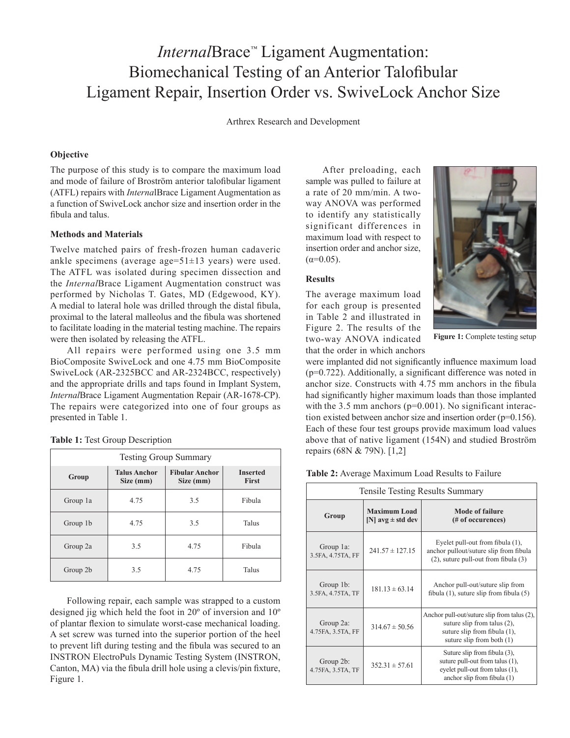# *Internal*Brace*™* Ligament Augmentation: Biomechanical Testing of an Anterior Talofibular Ligament Repair, Insertion Order vs. SwiveLock Anchor Size

Arthrex Research and Development

## **Objective**

The purpose of this study is to compare the maximum load and mode of failure of Broström anterior talofibular ligament (ATFL) repairs with *Interna*lBrace Ligament Augmentation as a function of SwiveLock anchor size and insertion order in the fibula and talus.

#### **Methods and Materials**

Twelve matched pairs of fresh-frozen human cadaveric ankle specimens (average age=51±13 years) were used. The ATFL was isolated during specimen dissection and the *Internal*Brace Ligament Augmentation construct was performed by Nicholas T. Gates, MD (Edgewood, KY). A medial to lateral hole was drilled through the distal fibula, proximal to the lateral malleolus and the fibula was shortened to facilitate loading in the material testing machine. The repairs were then isolated by releasing the ATFL.

All repairs were performed using one 3.5 mm BioComposite SwiveLock and one 4.75 mm BioComposite SwiveLock (AR-2325BCC and AR-2324BCC, respectively) and the appropriate drills and taps found in Implant System, *Internal*Brace Ligament Augmentation Repair (AR-1678-CP). The repairs were categorized into one of four groups as presented in Table 1.

|  |  |  | Table 1: Test Group Description |
|--|--|--|---------------------------------|
|--|--|--|---------------------------------|

| <b>Testing Group Summary</b> |                                  |                                    |                                 |  |  |
|------------------------------|----------------------------------|------------------------------------|---------------------------------|--|--|
| Group                        | <b>Talus Anchor</b><br>Size (mm) | <b>Fibular Anchor</b><br>Size (mm) | <b>Inserted</b><br><b>First</b> |  |  |
| Group 1a                     | 4.75                             | 3.5                                | Fibula                          |  |  |
| Group 1b                     | 4.75                             | 3.5                                | Talus                           |  |  |
| Group 2a                     | 3.5                              | 4.75                               | Fibula                          |  |  |
| Group 2b                     | 3.5                              | 4.75                               | Talus                           |  |  |

Following repair, each sample was strapped to a custom designed jig which held the foot in 20º of inversion and 10º of plantar flexion to simulate worst-case mechanical loading. A set screw was turned into the superior portion of the heel to prevent lift during testing and the fibula was secured to an INSTRON ElectroPuls Dynamic Testing System (INSTRON, Canton, MA) via the fibula drill hole using a clevis/pin fixture, Figure 1.

After preloading, each sample was pulled to failure at a rate of 20 mm/min. A twoway ANOVA was performed to identify any statistically significant differences in maximum load with respect to insertion order and anchor size,  $(\alpha=0.05)$ .

#### **Results**

The average maximum load for each group is presented in Table 2 and illustrated in Figure 2. The results of the two-way ANOVA indicated that the order in which anchors



**Figure 1:** Complete testing setup

were implanted did not significantly influence maximum load (p=0.722). Additionally, a significant difference was noted in anchor size. Constructs with 4.75 mm anchors in the fibula had significantly higher maximum loads than those implanted with the 3.5 mm anchors (p=0.001). No significant interaction existed between anchor size and insertion order (p=0.156). Each of these four test groups provide maximum load values above that of native ligament (154N) and studied Broström repairs (68N & 79N). [1,2]

| Table 2: Average Maximum Load Results to Failure |  |  |  |  |  |
|--------------------------------------------------|--|--|--|--|--|
|--------------------------------------------------|--|--|--|--|--|

| Tensile Testing Results Summary |                                              |                                                                                                                                              |  |  |
|---------------------------------|----------------------------------------------|----------------------------------------------------------------------------------------------------------------------------------------------|--|--|
| Group                           | <b>Maximum Load</b><br>[N] $avg \pm std$ dev | <b>Mode of failure</b><br>(# of occurences)                                                                                                  |  |  |
| Group 1a:<br>3.5FA, 4.75TA, FF  | $241.57 \pm 127.15$                          | Eyelet pull-out from fibula (1),<br>anchor pullout/suture slip from fibula<br>(2), suture pull-out from fibula (3)                           |  |  |
| Group 1b:<br>3.5FA, 4.75TA, TF  | $181.13 \pm 63.14$                           | Anchor pull-out/suture slip from<br>fibula $(1)$ , suture slip from fibula $(5)$                                                             |  |  |
| Group 2a:<br>4.75FA, 3.5TA, FF  | $314.67 \pm 50.56$                           | Anchor pull-out/suture slip from talus (2),<br>suture slip from talus $(2)$ ,<br>suture slip from fibula (1),<br>suture slip from both $(1)$ |  |  |
| Group 2b:<br>4.75FA, 3.5TA, TF  | $352.31 \pm 57.61$                           | Suture slip from fibula (3),<br>suture pull-out from talus (1),<br>eyelet pull-out from talus (1),<br>anchor slip from fibula $(1)$          |  |  |